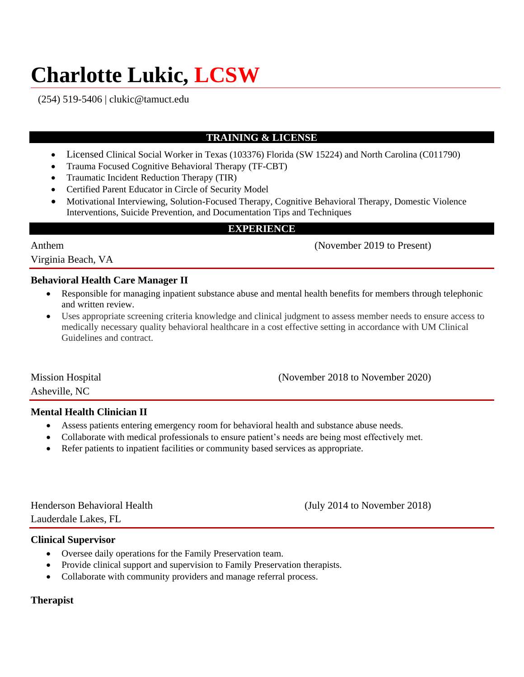# **Charlotte Lukic, LCSW**

(254) 519-5406 | clukic@tamuct.edu

# **TRAINING & LICENSE**

- Licensed Clinical Social Worker in Texas (103376) Florida (SW 15224) and North Carolina (C011790)
- Trauma Focused Cognitive Behavioral Therapy (TF-CBT)
- Traumatic Incident Reduction Therapy (TIR)
- Certified Parent Educator in Circle of Security Model
- Motivational Interviewing, Solution-Focused Therapy, Cognitive Behavioral Therapy, Domestic Violence Interventions, Suicide Prevention, and Documentation Tips and Techniques

# **EXPERIENCE**

Anthem (November 2019 to Present)

Virginia Beach, VA

# **Behavioral Health Care Manager II**

- Responsible for managing inpatient substance abuse and mental health benefits for members through telephonic and written review.
- Uses appropriate screening criteria knowledge and clinical judgment to assess member needs to ensure access to medically necessary quality behavioral healthcare in a cost effective setting in accordance with UM Clinical Guidelines and contract.

Mission Hospital (November 2018 to November 2020)

Asheville, NC

# **Mental Health Clinician II**

- Assess patients entering emergency room for behavioral health and substance abuse needs.
- Collaborate with medical professionals to ensure patient's needs are being most effectively met.
- Refer patients to inpatient facilities or community based services as appropriate.

Lauderdale Lakes, FL

Henderson Behavioral Health (July 2014 to November 2018)

# **Clinical Supervisor**

- Oversee daily operations for the Family Preservation team.
- Provide clinical support and supervision to Family Preservation therapists.
- Collaborate with community providers and manage referral process.

# **Therapist**